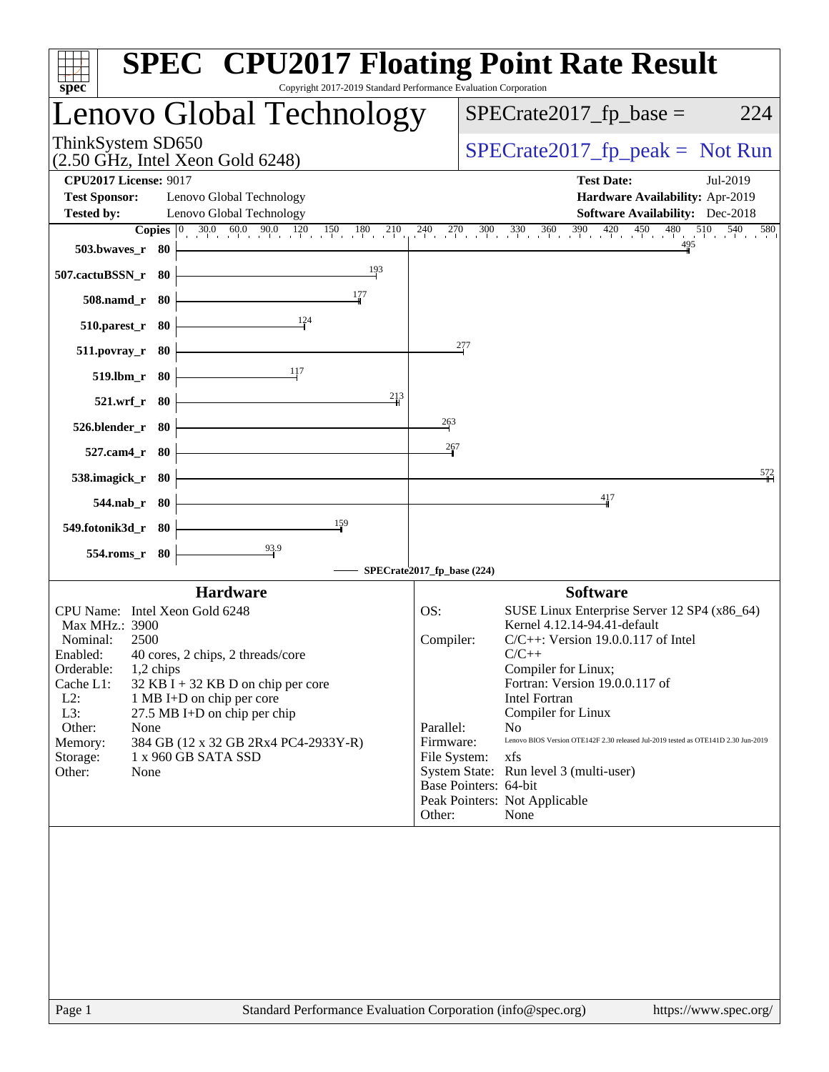| Copyright 2017-2019 Standard Performance Evaluation Corporation<br>spec <sup>®</sup>                                                                                                                                                                                                                                                                                                                            | <b>SPEC<sup>®</sup> CPU2017 Floating Point Rate Result</b>                                                                                                                                                                                                                                                                                                                                                                                                                                                                          |
|-----------------------------------------------------------------------------------------------------------------------------------------------------------------------------------------------------------------------------------------------------------------------------------------------------------------------------------------------------------------------------------------------------------------|-------------------------------------------------------------------------------------------------------------------------------------------------------------------------------------------------------------------------------------------------------------------------------------------------------------------------------------------------------------------------------------------------------------------------------------------------------------------------------------------------------------------------------------|
| Lenovo Global Technology                                                                                                                                                                                                                                                                                                                                                                                        | $SPECrate2017_fp\_base =$<br>224                                                                                                                                                                                                                                                                                                                                                                                                                                                                                                    |
| ThinkSystem SD650<br>$(2.50 \text{ GHz}, \text{Intel Xeon Gold } 6248)$                                                                                                                                                                                                                                                                                                                                         | $SPECrate2017_fp\_peak = Not Run$                                                                                                                                                                                                                                                                                                                                                                                                                                                                                                   |
| <b>CPU2017 License: 9017</b><br><b>Test Sponsor:</b><br>Lenovo Global Technology<br>Lenovo Global Technology<br><b>Tested by:</b>                                                                                                                                                                                                                                                                               | <b>Test Date:</b><br>Jul-2019<br>Hardware Availability: Apr-2019<br><b>Software Availability:</b> Dec-2018                                                                                                                                                                                                                                                                                                                                                                                                                          |
| 503.bwaves_r 80<br>193<br>507.cactuBSSN_r 80                                                                                                                                                                                                                                                                                                                                                                    | <b>Copies</b> $\begin{bmatrix} 0 & 30.0 & 60.0 & 90.0 & 120 & 150 & 180 & 210 & 240 & 270 & 300 & 330 & 360 & 390 & 420 & 450 & 480 & 510 & 540 & 580 \end{bmatrix}$                                                                                                                                                                                                                                                                                                                                                                |
| 177<br>508.namd_r 80                                                                                                                                                                                                                                                                                                                                                                                            |                                                                                                                                                                                                                                                                                                                                                                                                                                                                                                                                     |
| 124<br>$510.parest_r$ 80                                                                                                                                                                                                                                                                                                                                                                                        |                                                                                                                                                                                                                                                                                                                                                                                                                                                                                                                                     |
| $511. povray_r$ 80                                                                                                                                                                                                                                                                                                                                                                                              | 277                                                                                                                                                                                                                                                                                                                                                                                                                                                                                                                                 |
| 519.lbm_r 80<br>213<br>521.wrf_r 80                                                                                                                                                                                                                                                                                                                                                                             |                                                                                                                                                                                                                                                                                                                                                                                                                                                                                                                                     |
| 526.blender_r 80                                                                                                                                                                                                                                                                                                                                                                                                | 263                                                                                                                                                                                                                                                                                                                                                                                                                                                                                                                                 |
| 527.cam4_r 80                                                                                                                                                                                                                                                                                                                                                                                                   | 267                                                                                                                                                                                                                                                                                                                                                                                                                                                                                                                                 |
| 538.imagick_r 80                                                                                                                                                                                                                                                                                                                                                                                                | 572                                                                                                                                                                                                                                                                                                                                                                                                                                                                                                                                 |
| 544.nab_r 80                                                                                                                                                                                                                                                                                                                                                                                                    | 417                                                                                                                                                                                                                                                                                                                                                                                                                                                                                                                                 |
| 159<br>549.fotonik3d_r 80<br>$\frac{93.9}{4}$                                                                                                                                                                                                                                                                                                                                                                   |                                                                                                                                                                                                                                                                                                                                                                                                                                                                                                                                     |
| 554.roms_r 80                                                                                                                                                                                                                                                                                                                                                                                                   | SPECrate2017_fp_base (224)                                                                                                                                                                                                                                                                                                                                                                                                                                                                                                          |
| <b>Hardware</b>                                                                                                                                                                                                                                                                                                                                                                                                 | <b>Software</b>                                                                                                                                                                                                                                                                                                                                                                                                                                                                                                                     |
| CPU Name: Intel Xeon Gold 6248<br>Max MHz.: 3900<br>Nominal:<br>2500<br>40 cores, 2 chips, 2 threads/core<br>Enabled:<br>Orderable:<br>$1,2$ chips<br>Cache L1:<br>$32$ KB I + 32 KB D on chip per core<br>$L2$ :<br>1 MB I+D on chip per core<br>L3:<br>27.5 MB I+D on chip per chip<br>Other:<br>None<br>Memory:<br>384 GB (12 x 32 GB 2Rx4 PC4-2933Y-R)<br>1 x 960 GB SATA SSD<br>Storage:<br>Other:<br>None | OS:<br>SUSE Linux Enterprise Server 12 SP4 (x86_64)<br>Kernel 4.12.14-94.41-default<br>Compiler:<br>$C/C++$ : Version 19.0.0.117 of Intel<br>$C/C++$<br>Compiler for Linux;<br>Fortran: Version 19.0.0.117 of<br>Intel Fortran<br>Compiler for Linux<br>Parallel:<br>N <sub>o</sub><br>Firmware:<br>Lenovo BIOS Version OTE142F 2.30 released Jul-2019 tested as OTE141D 2.30 Jun-2019<br>File System:<br>xfs<br>System State: Run level 3 (multi-user)<br>Base Pointers: 64-bit<br>Peak Pointers: Not Applicable<br>None<br>Other: |
|                                                                                                                                                                                                                                                                                                                                                                                                                 |                                                                                                                                                                                                                                                                                                                                                                                                                                                                                                                                     |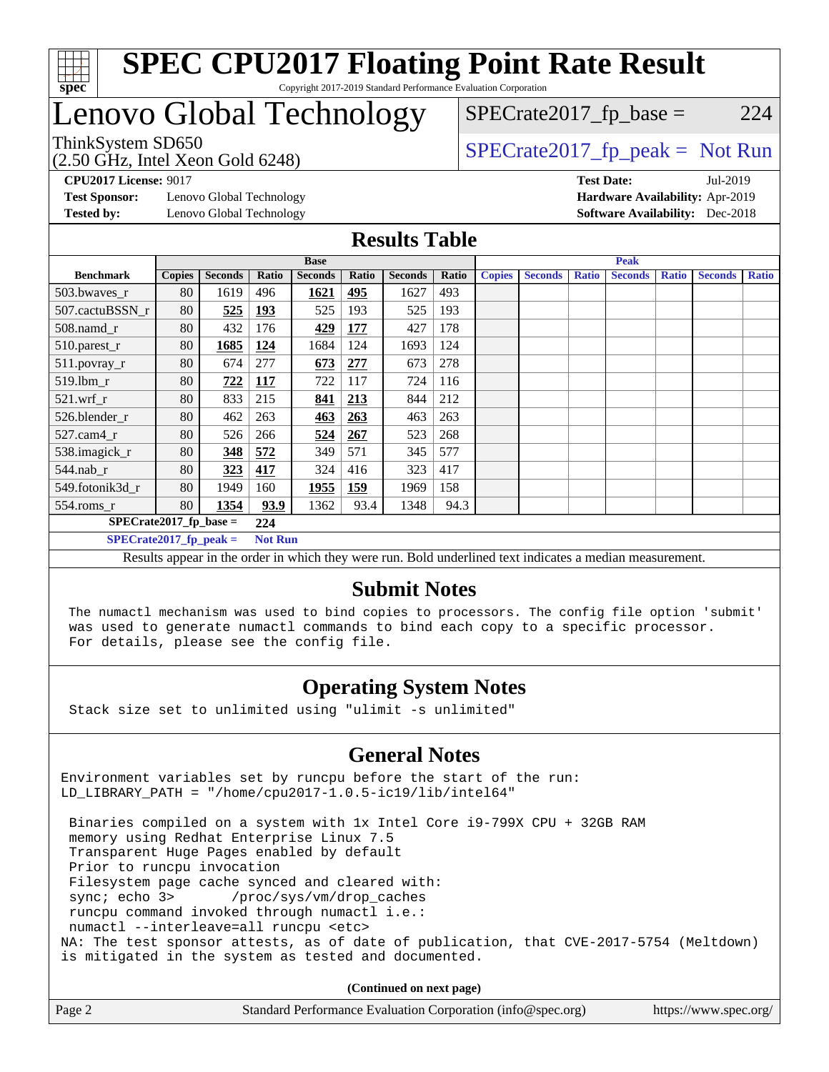

## Lenovo Global Technology

 $SPECTate2017<sub>fr</sub> base = 224$ 

ThinkSystem SD650<br>(2.50 GHz, Intel Xeon Gold 6248)

 $SPECTate2017<sub>fr</sub> peak = Not Run$ 

**[Test Sponsor:](http://www.spec.org/auto/cpu2017/Docs/result-fields.html#TestSponsor)** Lenovo Global Technology **[Hardware Availability:](http://www.spec.org/auto/cpu2017/Docs/result-fields.html#HardwareAvailability)** Apr-2019 **[Tested by:](http://www.spec.org/auto/cpu2017/Docs/result-fields.html#Testedby)** Lenovo Global Technology **[Software Availability:](http://www.spec.org/auto/cpu2017/Docs/result-fields.html#SoftwareAvailability)** Dec-2018

**[CPU2017 License:](http://www.spec.org/auto/cpu2017/Docs/result-fields.html#CPU2017License)** 9017 **[Test Date:](http://www.spec.org/auto/cpu2017/Docs/result-fields.html#TestDate)** Jul-2019

#### **[Results Table](http://www.spec.org/auto/cpu2017/Docs/result-fields.html#ResultsTable)**

|                                  | <b>Base</b>   |                |                |                |       | <b>Peak</b>    |       |               |                |              |                |              |                |              |
|----------------------------------|---------------|----------------|----------------|----------------|-------|----------------|-------|---------------|----------------|--------------|----------------|--------------|----------------|--------------|
| <b>Benchmark</b>                 | <b>Copies</b> | <b>Seconds</b> | Ratio          | <b>Seconds</b> | Ratio | <b>Seconds</b> | Ratio | <b>Copies</b> | <b>Seconds</b> | <b>Ratio</b> | <b>Seconds</b> | <b>Ratio</b> | <b>Seconds</b> | <b>Ratio</b> |
| 503.bwaves_r                     | 80            | 1619           | 496            | 1621           | 495   | 1627           | 493   |               |                |              |                |              |                |              |
| 507.cactuBSSN r                  | 80            | 525            | <u>193</u>     | 525            | 193   | 525            | 193   |               |                |              |                |              |                |              |
| $508$ .namd $r$                  | 80            | 432            | 176            | 429            | 177   | 427            | 178   |               |                |              |                |              |                |              |
| 510.parest_r                     | 80            | 1685           | <u>124</u>     | 1684           | 124   | 1693           | 124   |               |                |              |                |              |                |              |
| 511.povray_r                     | 80            | 674            | 277            | 673            | 277   | 673            | 278   |               |                |              |                |              |                |              |
| $519.$ lbm_r                     | 80            | 722            | <b>117</b>     | 722            | 117   | 724            | 116   |               |                |              |                |              |                |              |
| $521$ .wrf r                     | 80            | 833            | 215            | 841            | 213   | 844            | 212   |               |                |              |                |              |                |              |
| 526.blender r                    | 80            | 462            | 263            | 463            | 263   | 463            | 263   |               |                |              |                |              |                |              |
| $527$ .cam $4r$                  | 80            | 526            | 266            | 524            | 267   | 523            | 268   |               |                |              |                |              |                |              |
| 538.imagick_r                    | 80            | 348            | 572            | 349            | 571   | 345            | 577   |               |                |              |                |              |                |              |
| $544$ .nab_r                     | 80            | 323            | 417            | 324            | 416   | 323            | 417   |               |                |              |                |              |                |              |
| 549.fotonik3d r                  | 80            | 1949           | 160            | 1955           | 159   | 1969           | 158   |               |                |              |                |              |                |              |
| $554$ .roms_r                    | 80            | 1354           | 93.9           | 1362           | 93.4  | 1348           | 94.3  |               |                |              |                |              |                |              |
| $SPECrate2017_fp\_base =$<br>224 |               |                |                |                |       |                |       |               |                |              |                |              |                |              |
| $SPECrate2017_fp_peak =$         |               |                | <b>Not Run</b> |                |       |                |       |               |                |              |                |              |                |              |

Results appear in the [order in which they were run.](http://www.spec.org/auto/cpu2017/Docs/result-fields.html#RunOrder) Bold underlined text [indicates a median measurement.](http://www.spec.org/auto/cpu2017/Docs/result-fields.html#Median)

#### **[Submit Notes](http://www.spec.org/auto/cpu2017/Docs/result-fields.html#SubmitNotes)**

 The numactl mechanism was used to bind copies to processors. The config file option 'submit' was used to generate numactl commands to bind each copy to a specific processor. For details, please see the config file.

#### **[Operating System Notes](http://www.spec.org/auto/cpu2017/Docs/result-fields.html#OperatingSystemNotes)**

Stack size set to unlimited using "ulimit -s unlimited"

#### **[General Notes](http://www.spec.org/auto/cpu2017/Docs/result-fields.html#GeneralNotes)**

Environment variables set by runcpu before the start of the run: LD\_LIBRARY\_PATH = "/home/cpu2017-1.0.5-ic19/lib/intel64"

 Binaries compiled on a system with 1x Intel Core i9-799X CPU + 32GB RAM memory using Redhat Enterprise Linux 7.5 Transparent Huge Pages enabled by default Prior to runcpu invocation Filesystem page cache synced and cleared with: sync; echo 3> /proc/sys/vm/drop\_caches runcpu command invoked through numactl i.e.: numactl --interleave=all runcpu <etc> NA: The test sponsor attests, as of date of publication, that CVE-2017-5754 (Meltdown) is mitigated in the system as tested and documented.

**(Continued on next page)**

| Page 2 | Standard Performance Evaluation Corporation (info@spec.org) | https://www.spec.org/ |
|--------|-------------------------------------------------------------|-----------------------|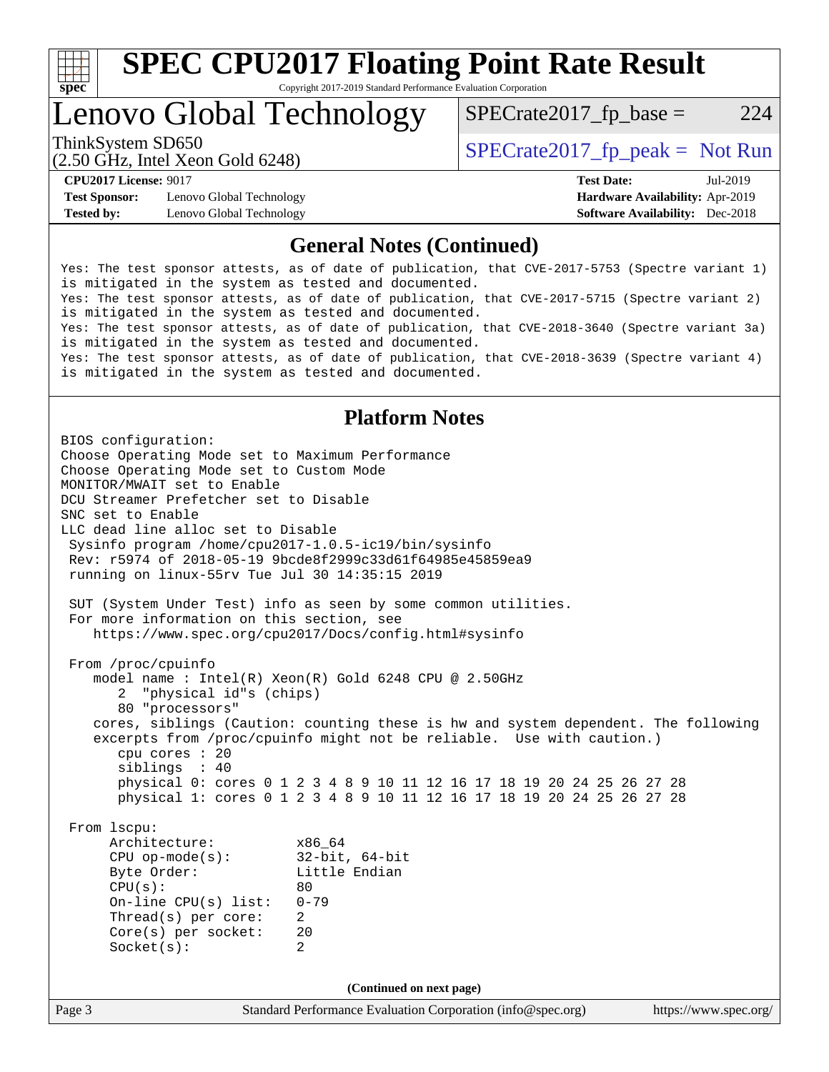

### Lenovo Global Technology

 $SPECTate2017<sub>fr</sub> base = 224$ 

(2.50 GHz, Intel Xeon Gold 6248)

ThinkSystem SD650  $SPECrate2017$  fp\_peak = Not Run

**[Test Sponsor:](http://www.spec.org/auto/cpu2017/Docs/result-fields.html#TestSponsor)** Lenovo Global Technology **[Hardware Availability:](http://www.spec.org/auto/cpu2017/Docs/result-fields.html#HardwareAvailability)** Apr-2019 **[Tested by:](http://www.spec.org/auto/cpu2017/Docs/result-fields.html#Testedby)** Lenovo Global Technology **[Software Availability:](http://www.spec.org/auto/cpu2017/Docs/result-fields.html#SoftwareAvailability)** Dec-2018

**[CPU2017 License:](http://www.spec.org/auto/cpu2017/Docs/result-fields.html#CPU2017License)** 9017 **[Test Date:](http://www.spec.org/auto/cpu2017/Docs/result-fields.html#TestDate)** Jul-2019

#### **[General Notes \(Continued\)](http://www.spec.org/auto/cpu2017/Docs/result-fields.html#GeneralNotes)**

Yes: The test sponsor attests, as of date of publication, that CVE-2017-5753 (Spectre variant 1) is mitigated in the system as tested and documented. Yes: The test sponsor attests, as of date of publication, that CVE-2017-5715 (Spectre variant 2) is mitigated in the system as tested and documented. Yes: The test sponsor attests, as of date of publication, that CVE-2018-3640 (Spectre variant 3a) is mitigated in the system as tested and documented. Yes: The test sponsor attests, as of date of publication, that CVE-2018-3639 (Spectre variant 4) is mitigated in the system as tested and documented.

#### **[Platform Notes](http://www.spec.org/auto/cpu2017/Docs/result-fields.html#PlatformNotes)**

Page 3 Standard Performance Evaluation Corporation [\(info@spec.org\)](mailto:info@spec.org) <https://www.spec.org/> BIOS configuration: Choose Operating Mode set to Maximum Performance Choose Operating Mode set to Custom Mode MONITOR/MWAIT set to Enable DCU Streamer Prefetcher set to Disable SNC set to Enable LLC dead line alloc set to Disable Sysinfo program /home/cpu2017-1.0.5-ic19/bin/sysinfo Rev: r5974 of 2018-05-19 9bcde8f2999c33d61f64985e45859ea9 running on linux-55rv Tue Jul 30 14:35:15 2019 SUT (System Under Test) info as seen by some common utilities. For more information on this section, see <https://www.spec.org/cpu2017/Docs/config.html#sysinfo> From /proc/cpuinfo model name : Intel(R) Xeon(R) Gold 6248 CPU @ 2.50GHz 2 "physical id"s (chips) 80 "processors" cores, siblings (Caution: counting these is hw and system dependent. The following excerpts from /proc/cpuinfo might not be reliable. Use with caution.) cpu cores : 20 siblings : 40 physical 0: cores 0 1 2 3 4 8 9 10 11 12 16 17 18 19 20 24 25 26 27 28 physical 1: cores 0 1 2 3 4 8 9 10 11 12 16 17 18 19 20 24 25 26 27 28 From lscpu: Architecture: x86\_64 CPU op-mode(s): 32-bit, 64-bit<br>Byte Order: Little Endian Little Endian  $CPU(s):$  80 On-line CPU(s) list: 0-79 Thread(s) per core: 2 Core(s) per socket: 20 Socket(s): 2 **(Continued on next page)**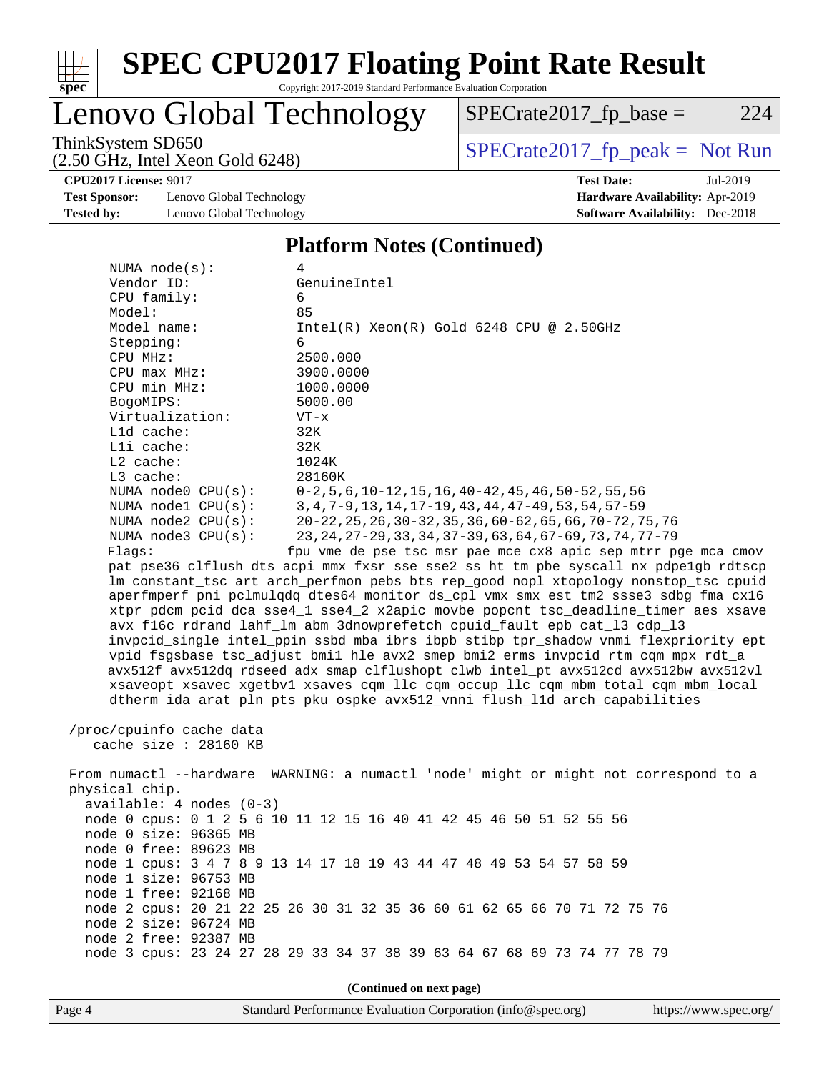

# **[SPEC CPU2017 Floating Point Rate Result](http://www.spec.org/auto/cpu2017/Docs/result-fields.html#SPECCPU2017FloatingPointRateResult)**

Copyright 2017-2019 Standard Performance Evaluation Corporation

# Lenovo Global Technology

ThinkSystem SD650<br>  $(2.50 \text{ GHz})$  Intel Xeon Gold 6248)

 $SPECTate2017_fp\_base = 224$ 

(2.50 GHz, Intel Xeon Gold 6248) **[CPU2017 License:](http://www.spec.org/auto/cpu2017/Docs/result-fields.html#CPU2017License)** 9017 **[Test Date:](http://www.spec.org/auto/cpu2017/Docs/result-fields.html#TestDate)** Jul-2019

**[Test Sponsor:](http://www.spec.org/auto/cpu2017/Docs/result-fields.html#TestSponsor)** Lenovo Global Technology **[Hardware Availability:](http://www.spec.org/auto/cpu2017/Docs/result-fields.html#HardwareAvailability)** Apr-2019 **[Tested by:](http://www.spec.org/auto/cpu2017/Docs/result-fields.html#Testedby)** Lenovo Global Technology **[Software Availability:](http://www.spec.org/auto/cpu2017/Docs/result-fields.html#SoftwareAvailability)** Dec-2018

#### **[Platform Notes \(Continued\)](http://www.spec.org/auto/cpu2017/Docs/result-fields.html#PlatformNotes)**

| NUMA $node(s):$<br>4                                                                 |                                                                                     |  |  |  |  |
|--------------------------------------------------------------------------------------|-------------------------------------------------------------------------------------|--|--|--|--|
| Vendor ID:                                                                           | GenuineIntel                                                                        |  |  |  |  |
| CPU family:                                                                          | 6                                                                                   |  |  |  |  |
| Model:                                                                               | 85                                                                                  |  |  |  |  |
| Model name:                                                                          | $Intel(R) Xeon(R) Gold 6248 CPU @ 2.50GHz$                                          |  |  |  |  |
|                                                                                      | 6                                                                                   |  |  |  |  |
| Stepping:                                                                            | 2500.000                                                                            |  |  |  |  |
| CPU MHz:                                                                             |                                                                                     |  |  |  |  |
| CPU max MHz:                                                                         | 3900.0000                                                                           |  |  |  |  |
| CPU min MHz:                                                                         | 1000.0000                                                                           |  |  |  |  |
| BogoMIPS:                                                                            | 5000.00                                                                             |  |  |  |  |
| Virtualization:                                                                      | $VT - x$                                                                            |  |  |  |  |
| L1d cache:                                                                           | 32K                                                                                 |  |  |  |  |
| Lli cache:                                                                           | 32K                                                                                 |  |  |  |  |
| $L2$ cache:                                                                          | 1024K                                                                               |  |  |  |  |
| L3 cache:                                                                            | 28160K                                                                              |  |  |  |  |
| NUMA node0 CPU(s):                                                                   | $0-2, 5, 6, 10-12, 15, 16, 40-42, 45, 46, 50-52, 55, 56$                            |  |  |  |  |
| NUMA nodel $CPU(s):$                                                                 | 3, 4, 7-9, 13, 14, 17-19, 43, 44, 47-49, 53, 54, 57-59                              |  |  |  |  |
| NUMA node2 CPU(s):                                                                   | 20-22, 25, 26, 30-32, 35, 36, 60-62, 65, 66, 70-72, 75, 76                          |  |  |  |  |
| NUMA $node3$ $CPU(s):$                                                               | 23, 24, 27-29, 33, 34, 37-39, 63, 64, 67-69, 73, 74, 77-79                          |  |  |  |  |
| Flags:                                                                               | fpu vme de pse tsc msr pae mce cx8 apic sep mtrr pge mca cmov                       |  |  |  |  |
|                                                                                      | pat pse36 clflush dts acpi mmx fxsr sse sse2 ss ht tm pbe syscall nx pdpelgb rdtscp |  |  |  |  |
|                                                                                      | lm constant_tsc art arch_perfmon pebs bts rep_good nopl xtopology nonstop_tsc cpuid |  |  |  |  |
|                                                                                      | aperfmperf pni pclmulqdq dtes64 monitor ds_cpl vmx smx est tm2 ssse3 sdbg fma cx16  |  |  |  |  |
|                                                                                      | xtpr pdcm pcid dca sse4_1 sse4_2 x2apic movbe popcnt tsc_deadline_timer aes xsave   |  |  |  |  |
| avx f16c rdrand lahf_lm abm 3dnowprefetch cpuid_fault epb cat_13 cdp_13              |                                                                                     |  |  |  |  |
| invpcid single intel ppin ssbd mba ibrs ibpb stibp tpr shadow vnmi flexpriority ept  |                                                                                     |  |  |  |  |
| vpid fsgsbase tsc_adjust bmil hle avx2 smep bmi2 erms invpcid rtm cqm mpx rdt_a      |                                                                                     |  |  |  |  |
| avx512f avx512dq rdseed adx smap clflushopt clwb intel_pt avx512cd avx512bw avx512vl |                                                                                     |  |  |  |  |
| xsaveopt xsavec xgetbvl xsaves cqm_llc cqm_occup_llc cqm_mbm_total cqm_mbm_local     |                                                                                     |  |  |  |  |
| dtherm ida arat pln pts pku ospke avx512_vnni flush_lld arch_capabilities            |                                                                                     |  |  |  |  |
|                                                                                      |                                                                                     |  |  |  |  |
| /proc/cpuinfo cache data                                                             |                                                                                     |  |  |  |  |
| cache size : 28160 KB                                                                |                                                                                     |  |  |  |  |
|                                                                                      |                                                                                     |  |  |  |  |
| From numactl --hardware WARNING: a numactl 'node' might or might not correspond to a |                                                                                     |  |  |  |  |
| physical chip.                                                                       |                                                                                     |  |  |  |  |
| $available: 4 nodes (0-3)$                                                           |                                                                                     |  |  |  |  |
|                                                                                      | node 0 cpus: 0 1 2 5 6 10 11 12 15 16 40 41 42 45 46 50 51 52 55 56                 |  |  |  |  |
| node 0 size: 96365 MB                                                                |                                                                                     |  |  |  |  |
| node 0 free: 89623 MB                                                                |                                                                                     |  |  |  |  |
|                                                                                      |                                                                                     |  |  |  |  |
|                                                                                      | node 1 cpus: 3 4 7 8 9 13 14 17 18 19 43 44 47 48 49 53 54 57 58 59                 |  |  |  |  |
| node 1 size: 96753 MB                                                                |                                                                                     |  |  |  |  |
| node 1 free: 92168 MB                                                                |                                                                                     |  |  |  |  |
|                                                                                      | node 2 cpus: 20 21 22 25 26 30 31 32 35 36 60 61 62 65 66 70 71 72 75 76            |  |  |  |  |
| node 2 size: 96724 MB                                                                |                                                                                     |  |  |  |  |
| node 2 free: 92387 MB                                                                |                                                                                     |  |  |  |  |
|                                                                                      | node 3 cpus: 23 24 27 28 29 33 34 37 38 39 63 64 67 68 69 73 74 77 78 79            |  |  |  |  |
|                                                                                      |                                                                                     |  |  |  |  |
| (Continued on next page)                                                             |                                                                                     |  |  |  |  |

Page 4 Standard Performance Evaluation Corporation [\(info@spec.org\)](mailto:info@spec.org) <https://www.spec.org/>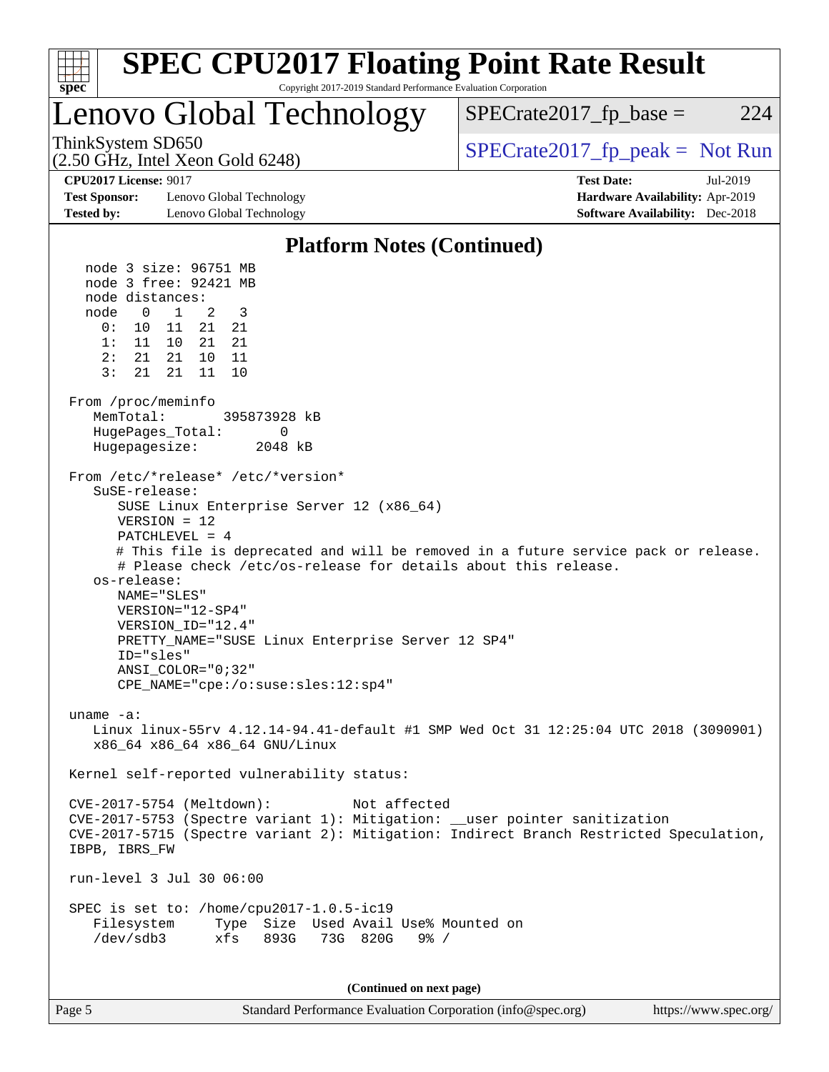

| របម |  |
|-----|--|
|     |  |

Page 5 Standard Performance Evaluation Corporation [\(info@spec.org\)](mailto:info@spec.org) <https://www.spec.org/>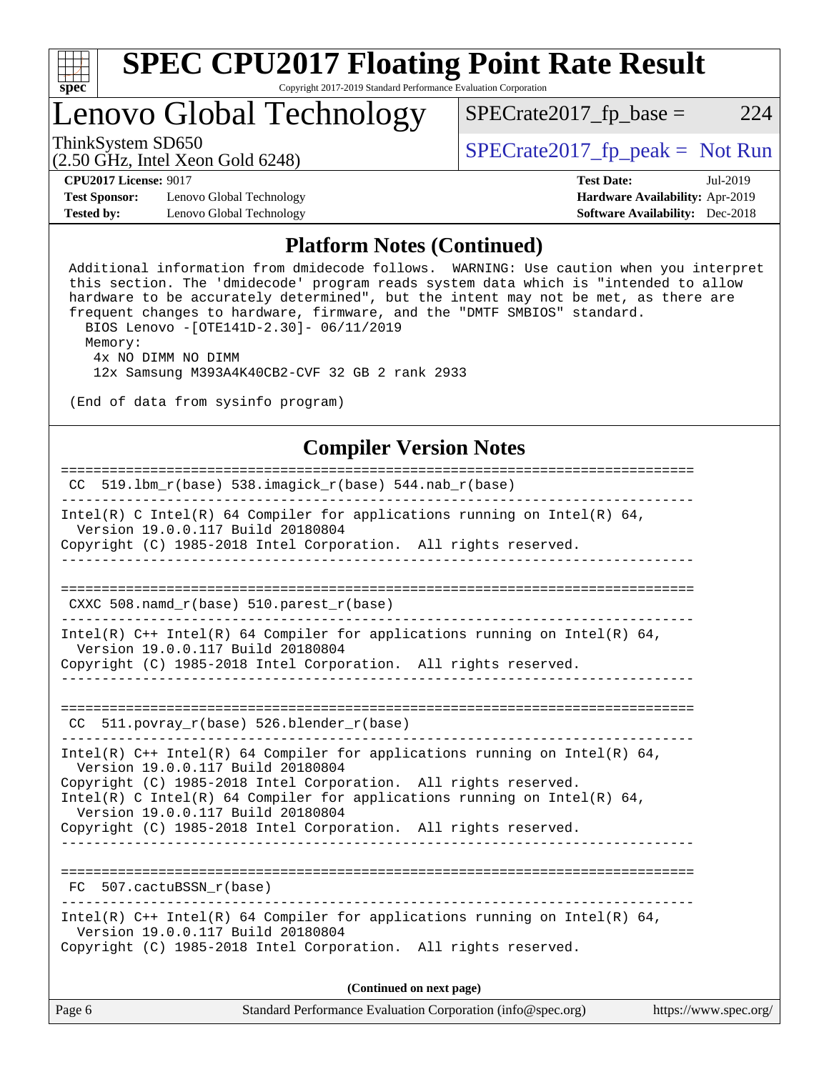

## Lenovo Global Technology

ThinkSystem SD650  $SPECrate2017$  fp\_peak = Not Run

 $SPECTate2017<sub>fr</sub> base = 224$ 

(2.50 GHz, Intel Xeon Gold 6248)

**[CPU2017 License:](http://www.spec.org/auto/cpu2017/Docs/result-fields.html#CPU2017License)** 9017 **[Test Date:](http://www.spec.org/auto/cpu2017/Docs/result-fields.html#TestDate)** Jul-2019

**[Test Sponsor:](http://www.spec.org/auto/cpu2017/Docs/result-fields.html#TestSponsor)** Lenovo Global Technology **[Hardware Availability:](http://www.spec.org/auto/cpu2017/Docs/result-fields.html#HardwareAvailability)** Apr-2019 **[Tested by:](http://www.spec.org/auto/cpu2017/Docs/result-fields.html#Testedby)** Lenovo Global Technology **[Software Availability:](http://www.spec.org/auto/cpu2017/Docs/result-fields.html#SoftwareAvailability)** Dec-2018

#### **[Platform Notes \(Continued\)](http://www.spec.org/auto/cpu2017/Docs/result-fields.html#PlatformNotes)**

 Additional information from dmidecode follows. WARNING: Use caution when you interpret this section. The 'dmidecode' program reads system data which is "intended to allow hardware to be accurately determined", but the intent may not be met, as there are frequent changes to hardware, firmware, and the "DMTF SMBIOS" standard. BIOS Lenovo -[OTE141D-2.30]- 06/11/2019 Memory: 4x NO DIMM NO DIMM 12x Samsung M393A4K40CB2-CVF 32 GB 2 rank 2933 (End of data from sysinfo program) **[Compiler Version Notes](http://www.spec.org/auto/cpu2017/Docs/result-fields.html#CompilerVersionNotes)** ============================================================================== CC 519.1bm  $r(base)$  538.imagick  $r(base)$  544.nab  $r(base)$ ------------------------------------------------------------------------------ Intel(R) C Intel(R) 64 Compiler for applications running on Intel(R) 64,

 Version 19.0.0.117 Build 20180804 Copyright (C) 1985-2018 Intel Corporation. All rights reserved. ------------------------------------------------------------------------------ ============================================================================== CXXC 508.namd\_r(base) 510.parest\_r(base) ------------------------------------------------------------------------------ Intel(R) C++ Intel(R) 64 Compiler for applications running on Intel(R) 64, Version 19.0.0.117 Build 20180804 Copyright (C) 1985-2018 Intel Corporation. All rights reserved. ------------------------------------------------------------------------------ ============================================================================== CC 511.povray r(base) 526.blender r(base) ------------------------------------------------------------------------------ Intel(R)  $C++$  Intel(R) 64 Compiler for applications running on Intel(R) 64, Version 19.0.0.117 Build 20180804 Copyright (C) 1985-2018 Intel Corporation. All rights reserved. Intel(R) C Intel(R) 64 Compiler for applications running on Intel(R)  $64$ , Version 19.0.0.117 Build 20180804 Copyright (C) 1985-2018 Intel Corporation. All rights reserved. ------------------------------------------------------------------------------ ============================================================================== FC 507.cactuBSSN\_r(base) ------------------------------------------------------------------------------ Intel(R) C++ Intel(R) 64 Compiler for applications running on Intel(R) 64, Version 19.0.0.117 Build 20180804 Copyright (C) 1985-2018 Intel Corporation. All rights reserved.

**(Continued on next page)**

| Page 6<br>Standard Performance Evaluation Corporation (info@spec.org) | https://www.spec.org/ |
|-----------------------------------------------------------------------|-----------------------|
|-----------------------------------------------------------------------|-----------------------|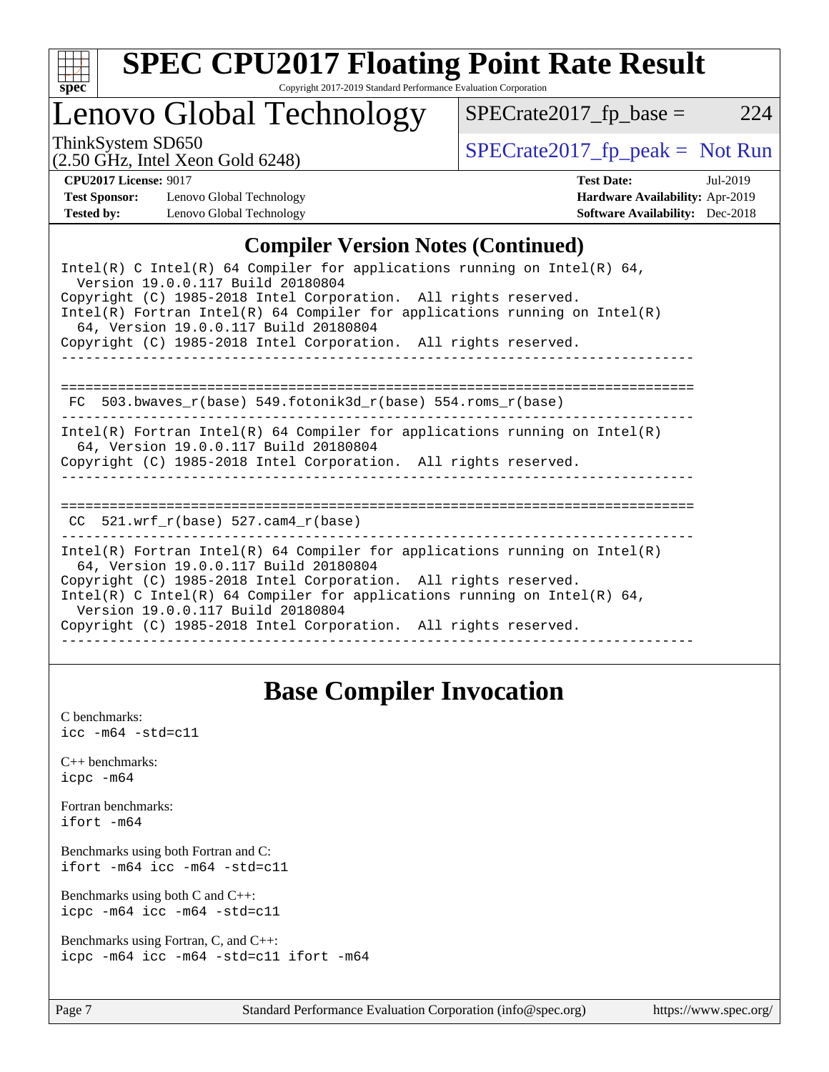

### Lenovo Global Technology

ThinkSystem SD650<br>  $\begin{array}{r} \text{SPECrate2017\_fp\_peak = Not Run} \\ \text{SPECrate2017\_fp\_peak = Not Run} \end{array}$ 

 $SPECTate2017_fp\_base = 224$ 

(2.50 GHz, Intel Xeon Gold 6248)

**[CPU2017 License:](http://www.spec.org/auto/cpu2017/Docs/result-fields.html#CPU2017License)** 9017 **[Test Date:](http://www.spec.org/auto/cpu2017/Docs/result-fields.html#TestDate)** Jul-2019 **[Test Sponsor:](http://www.spec.org/auto/cpu2017/Docs/result-fields.html#TestSponsor)** Lenovo Global Technology **[Hardware Availability:](http://www.spec.org/auto/cpu2017/Docs/result-fields.html#HardwareAvailability)** Apr-2019 **[Tested by:](http://www.spec.org/auto/cpu2017/Docs/result-fields.html#Testedby)** Lenovo Global Technology **[Software Availability:](http://www.spec.org/auto/cpu2017/Docs/result-fields.html#SoftwareAvailability)** Dec-2018

#### **[Compiler Version Notes \(Continued\)](http://www.spec.org/auto/cpu2017/Docs/result-fields.html#CompilerVersionNotes)**

| Intel(R) C Intel(R) 64 Compiler for applications running on Intel(R) 64,<br>Version 19.0.0.117 Build 20180804                                                                                                                                                                                                                                                              |  |  |  |  |
|----------------------------------------------------------------------------------------------------------------------------------------------------------------------------------------------------------------------------------------------------------------------------------------------------------------------------------------------------------------------------|--|--|--|--|
| Copyright (C) 1985-2018 Intel Corporation. All rights reserved.<br>$Intel(R)$ Fortran Intel(R) 64 Compiler for applications running on Intel(R)<br>64, Version 19.0.0.117 Build 20180804                                                                                                                                                                                   |  |  |  |  |
| Copyright (C) 1985-2018 Intel Corporation. All rights reserved.                                                                                                                                                                                                                                                                                                            |  |  |  |  |
| $FC 503.bwaves_r(base) 549.fotonik3d_r(base) 554.roms_r(base)$                                                                                                                                                                                                                                                                                                             |  |  |  |  |
| Intel(R) Fortran Intel(R) 64 Compiler for applications running on Intel(R)<br>64, Version 19.0.0.117 Build 20180804<br>Copyright (C) 1985-2018 Intel Corporation. All rights reserved.                                                                                                                                                                                     |  |  |  |  |
| 521.wrf $r(base)$ 527.cam4 $r(base)$<br>CC.                                                                                                                                                                                                                                                                                                                                |  |  |  |  |
| Intel(R) Fortran Intel(R) 64 Compiler for applications running on Intel(R)<br>64, Version 19.0.0.117 Build 20180804<br>Copyright (C) 1985-2018 Intel Corporation. All rights reserved.<br>Intel(R) C Intel(R) 64 Compiler for applications running on Intel(R) 64,<br>Version 19.0.0.117 Build 20180804<br>Copyright (C) 1985-2018 Intel Corporation. All rights reserved. |  |  |  |  |
|                                                                                                                                                                                                                                                                                                                                                                            |  |  |  |  |

### **[Base Compiler Invocation](http://www.spec.org/auto/cpu2017/Docs/result-fields.html#BaseCompilerInvocation)**

[C benchmarks](http://www.spec.org/auto/cpu2017/Docs/result-fields.html#Cbenchmarks): [icc -m64 -std=c11](http://www.spec.org/cpu2017/results/res2019q3/cpu2017-20190805-16630.flags.html#user_CCbase_intel_icc_64bit_c11_33ee0cdaae7deeeab2a9725423ba97205ce30f63b9926c2519791662299b76a0318f32ddfffdc46587804de3178b4f9328c46fa7c2b0cd779d7a61945c91cd35) [C++ benchmarks:](http://www.spec.org/auto/cpu2017/Docs/result-fields.html#CXXbenchmarks) [icpc -m64](http://www.spec.org/cpu2017/results/res2019q3/cpu2017-20190805-16630.flags.html#user_CXXbase_intel_icpc_64bit_4ecb2543ae3f1412ef961e0650ca070fec7b7afdcd6ed48761b84423119d1bf6bdf5cad15b44d48e7256388bc77273b966e5eb805aefd121eb22e9299b2ec9d9) [Fortran benchmarks](http://www.spec.org/auto/cpu2017/Docs/result-fields.html#Fortranbenchmarks): [ifort -m64](http://www.spec.org/cpu2017/results/res2019q3/cpu2017-20190805-16630.flags.html#user_FCbase_intel_ifort_64bit_24f2bb282fbaeffd6157abe4f878425411749daecae9a33200eee2bee2fe76f3b89351d69a8130dd5949958ce389cf37ff59a95e7a40d588e8d3a57e0c3fd751) [Benchmarks using both Fortran and C](http://www.spec.org/auto/cpu2017/Docs/result-fields.html#BenchmarksusingbothFortranandC): [ifort -m64](http://www.spec.org/cpu2017/results/res2019q3/cpu2017-20190805-16630.flags.html#user_CC_FCbase_intel_ifort_64bit_24f2bb282fbaeffd6157abe4f878425411749daecae9a33200eee2bee2fe76f3b89351d69a8130dd5949958ce389cf37ff59a95e7a40d588e8d3a57e0c3fd751) [icc -m64 -std=c11](http://www.spec.org/cpu2017/results/res2019q3/cpu2017-20190805-16630.flags.html#user_CC_FCbase_intel_icc_64bit_c11_33ee0cdaae7deeeab2a9725423ba97205ce30f63b9926c2519791662299b76a0318f32ddfffdc46587804de3178b4f9328c46fa7c2b0cd779d7a61945c91cd35) [Benchmarks using both C and C++](http://www.spec.org/auto/cpu2017/Docs/result-fields.html#BenchmarksusingbothCandCXX): [icpc -m64](http://www.spec.org/cpu2017/results/res2019q3/cpu2017-20190805-16630.flags.html#user_CC_CXXbase_intel_icpc_64bit_4ecb2543ae3f1412ef961e0650ca070fec7b7afdcd6ed48761b84423119d1bf6bdf5cad15b44d48e7256388bc77273b966e5eb805aefd121eb22e9299b2ec9d9) [icc -m64 -std=c11](http://www.spec.org/cpu2017/results/res2019q3/cpu2017-20190805-16630.flags.html#user_CC_CXXbase_intel_icc_64bit_c11_33ee0cdaae7deeeab2a9725423ba97205ce30f63b9926c2519791662299b76a0318f32ddfffdc46587804de3178b4f9328c46fa7c2b0cd779d7a61945c91cd35) [Benchmarks using Fortran, C, and C++:](http://www.spec.org/auto/cpu2017/Docs/result-fields.html#BenchmarksusingFortranCandCXX) [icpc -m64](http://www.spec.org/cpu2017/results/res2019q3/cpu2017-20190805-16630.flags.html#user_CC_CXX_FCbase_intel_icpc_64bit_4ecb2543ae3f1412ef961e0650ca070fec7b7afdcd6ed48761b84423119d1bf6bdf5cad15b44d48e7256388bc77273b966e5eb805aefd121eb22e9299b2ec9d9) [icc -m64 -std=c11](http://www.spec.org/cpu2017/results/res2019q3/cpu2017-20190805-16630.flags.html#user_CC_CXX_FCbase_intel_icc_64bit_c11_33ee0cdaae7deeeab2a9725423ba97205ce30f63b9926c2519791662299b76a0318f32ddfffdc46587804de3178b4f9328c46fa7c2b0cd779d7a61945c91cd35) [ifort -m64](http://www.spec.org/cpu2017/results/res2019q3/cpu2017-20190805-16630.flags.html#user_CC_CXX_FCbase_intel_ifort_64bit_24f2bb282fbaeffd6157abe4f878425411749daecae9a33200eee2bee2fe76f3b89351d69a8130dd5949958ce389cf37ff59a95e7a40d588e8d3a57e0c3fd751)

Page 7 Standard Performance Evaluation Corporation [\(info@spec.org\)](mailto:info@spec.org) <https://www.spec.org/>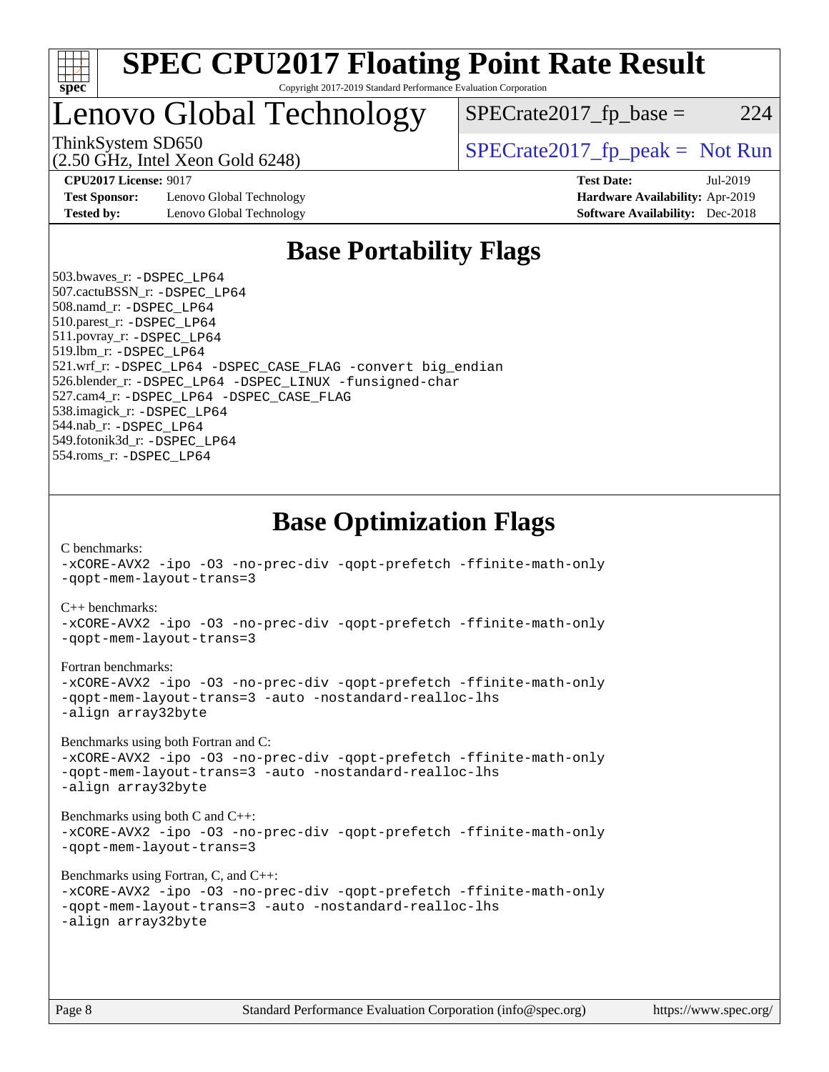

### Lenovo Global Technology

ThinkSystem SD650  $SPECrate2017$  fp\_peak = Not Run

 $SPECrate2017<sub>fp</sub> base =  $224$$ 

(2.50 GHz, Intel Xeon Gold 6248)

**[Test Sponsor:](http://www.spec.org/auto/cpu2017/Docs/result-fields.html#TestSponsor)** Lenovo Global Technology **[Hardware Availability:](http://www.spec.org/auto/cpu2017/Docs/result-fields.html#HardwareAvailability)** Apr-2019 **[Tested by:](http://www.spec.org/auto/cpu2017/Docs/result-fields.html#Testedby)** Lenovo Global Technology **[Software Availability:](http://www.spec.org/auto/cpu2017/Docs/result-fields.html#SoftwareAvailability)** Dec-2018

**[CPU2017 License:](http://www.spec.org/auto/cpu2017/Docs/result-fields.html#CPU2017License)** 9017 **[Test Date:](http://www.spec.org/auto/cpu2017/Docs/result-fields.html#TestDate)** Jul-2019

### **[Base Portability Flags](http://www.spec.org/auto/cpu2017/Docs/result-fields.html#BasePortabilityFlags)**

 503.bwaves\_r: [-DSPEC\\_LP64](http://www.spec.org/cpu2017/results/res2019q3/cpu2017-20190805-16630.flags.html#suite_basePORTABILITY503_bwaves_r_DSPEC_LP64) 507.cactuBSSN\_r: [-DSPEC\\_LP64](http://www.spec.org/cpu2017/results/res2019q3/cpu2017-20190805-16630.flags.html#suite_basePORTABILITY507_cactuBSSN_r_DSPEC_LP64) 508.namd\_r: [-DSPEC\\_LP64](http://www.spec.org/cpu2017/results/res2019q3/cpu2017-20190805-16630.flags.html#suite_basePORTABILITY508_namd_r_DSPEC_LP64) 510.parest\_r: [-DSPEC\\_LP64](http://www.spec.org/cpu2017/results/res2019q3/cpu2017-20190805-16630.flags.html#suite_basePORTABILITY510_parest_r_DSPEC_LP64) 511.povray\_r: [-DSPEC\\_LP64](http://www.spec.org/cpu2017/results/res2019q3/cpu2017-20190805-16630.flags.html#suite_basePORTABILITY511_povray_r_DSPEC_LP64) 519.lbm\_r: [-DSPEC\\_LP64](http://www.spec.org/cpu2017/results/res2019q3/cpu2017-20190805-16630.flags.html#suite_basePORTABILITY519_lbm_r_DSPEC_LP64) 521.wrf\_r: [-DSPEC\\_LP64](http://www.spec.org/cpu2017/results/res2019q3/cpu2017-20190805-16630.flags.html#suite_basePORTABILITY521_wrf_r_DSPEC_LP64) [-DSPEC\\_CASE\\_FLAG](http://www.spec.org/cpu2017/results/res2019q3/cpu2017-20190805-16630.flags.html#b521.wrf_r_baseCPORTABILITY_DSPEC_CASE_FLAG) [-convert big\\_endian](http://www.spec.org/cpu2017/results/res2019q3/cpu2017-20190805-16630.flags.html#user_baseFPORTABILITY521_wrf_r_convert_big_endian_c3194028bc08c63ac5d04de18c48ce6d347e4e562e8892b8bdbdc0214820426deb8554edfa529a3fb25a586e65a3d812c835984020483e7e73212c4d31a38223) 526.blender\_r: [-DSPEC\\_LP64](http://www.spec.org/cpu2017/results/res2019q3/cpu2017-20190805-16630.flags.html#suite_basePORTABILITY526_blender_r_DSPEC_LP64) [-DSPEC\\_LINUX](http://www.spec.org/cpu2017/results/res2019q3/cpu2017-20190805-16630.flags.html#b526.blender_r_baseCPORTABILITY_DSPEC_LINUX) [-funsigned-char](http://www.spec.org/cpu2017/results/res2019q3/cpu2017-20190805-16630.flags.html#user_baseCPORTABILITY526_blender_r_force_uchar_40c60f00ab013830e2dd6774aeded3ff59883ba5a1fc5fc14077f794d777847726e2a5858cbc7672e36e1b067e7e5c1d9a74f7176df07886a243d7cc18edfe67) 527.cam4\_r: [-DSPEC\\_LP64](http://www.spec.org/cpu2017/results/res2019q3/cpu2017-20190805-16630.flags.html#suite_basePORTABILITY527_cam4_r_DSPEC_LP64) [-DSPEC\\_CASE\\_FLAG](http://www.spec.org/cpu2017/results/res2019q3/cpu2017-20190805-16630.flags.html#b527.cam4_r_baseCPORTABILITY_DSPEC_CASE_FLAG) 538.imagick\_r: [-DSPEC\\_LP64](http://www.spec.org/cpu2017/results/res2019q3/cpu2017-20190805-16630.flags.html#suite_basePORTABILITY538_imagick_r_DSPEC_LP64) 544.nab\_r: [-DSPEC\\_LP64](http://www.spec.org/cpu2017/results/res2019q3/cpu2017-20190805-16630.flags.html#suite_basePORTABILITY544_nab_r_DSPEC_LP64) 549.fotonik3d\_r: [-DSPEC\\_LP64](http://www.spec.org/cpu2017/results/res2019q3/cpu2017-20190805-16630.flags.html#suite_basePORTABILITY549_fotonik3d_r_DSPEC_LP64) 554.roms\_r: [-DSPEC\\_LP64](http://www.spec.org/cpu2017/results/res2019q3/cpu2017-20190805-16630.flags.html#suite_basePORTABILITY554_roms_r_DSPEC_LP64)

**[Base Optimization Flags](http://www.spec.org/auto/cpu2017/Docs/result-fields.html#BaseOptimizationFlags)**

[C benchmarks](http://www.spec.org/auto/cpu2017/Docs/result-fields.html#Cbenchmarks):

[-xCORE-AVX2](http://www.spec.org/cpu2017/results/res2019q3/cpu2017-20190805-16630.flags.html#user_CCbase_f-xCORE-AVX2) [-ipo](http://www.spec.org/cpu2017/results/res2019q3/cpu2017-20190805-16630.flags.html#user_CCbase_f-ipo) [-O3](http://www.spec.org/cpu2017/results/res2019q3/cpu2017-20190805-16630.flags.html#user_CCbase_f-O3) [-no-prec-div](http://www.spec.org/cpu2017/results/res2019q3/cpu2017-20190805-16630.flags.html#user_CCbase_f-no-prec-div) [-qopt-prefetch](http://www.spec.org/cpu2017/results/res2019q3/cpu2017-20190805-16630.flags.html#user_CCbase_f-qopt-prefetch) [-ffinite-math-only](http://www.spec.org/cpu2017/results/res2019q3/cpu2017-20190805-16630.flags.html#user_CCbase_f_finite_math_only_cb91587bd2077682c4b38af759c288ed7c732db004271a9512da14a4f8007909a5f1427ecbf1a0fb78ff2a814402c6114ac565ca162485bbcae155b5e4258871) [-qopt-mem-layout-trans=3](http://www.spec.org/cpu2017/results/res2019q3/cpu2017-20190805-16630.flags.html#user_CCbase_f-qopt-mem-layout-trans_de80db37974c74b1f0e20d883f0b675c88c3b01e9d123adea9b28688d64333345fb62bc4a798493513fdb68f60282f9a726aa07f478b2f7113531aecce732043) [C++ benchmarks:](http://www.spec.org/auto/cpu2017/Docs/result-fields.html#CXXbenchmarks) [-xCORE-AVX2](http://www.spec.org/cpu2017/results/res2019q3/cpu2017-20190805-16630.flags.html#user_CXXbase_f-xCORE-AVX2) [-ipo](http://www.spec.org/cpu2017/results/res2019q3/cpu2017-20190805-16630.flags.html#user_CXXbase_f-ipo) [-O3](http://www.spec.org/cpu2017/results/res2019q3/cpu2017-20190805-16630.flags.html#user_CXXbase_f-O3) [-no-prec-div](http://www.spec.org/cpu2017/results/res2019q3/cpu2017-20190805-16630.flags.html#user_CXXbase_f-no-prec-div) [-qopt-prefetch](http://www.spec.org/cpu2017/results/res2019q3/cpu2017-20190805-16630.flags.html#user_CXXbase_f-qopt-prefetch) [-ffinite-math-only](http://www.spec.org/cpu2017/results/res2019q3/cpu2017-20190805-16630.flags.html#user_CXXbase_f_finite_math_only_cb91587bd2077682c4b38af759c288ed7c732db004271a9512da14a4f8007909a5f1427ecbf1a0fb78ff2a814402c6114ac565ca162485bbcae155b5e4258871) [-qopt-mem-layout-trans=3](http://www.spec.org/cpu2017/results/res2019q3/cpu2017-20190805-16630.flags.html#user_CXXbase_f-qopt-mem-layout-trans_de80db37974c74b1f0e20d883f0b675c88c3b01e9d123adea9b28688d64333345fb62bc4a798493513fdb68f60282f9a726aa07f478b2f7113531aecce732043) [Fortran benchmarks](http://www.spec.org/auto/cpu2017/Docs/result-fields.html#Fortranbenchmarks): [-xCORE-AVX2](http://www.spec.org/cpu2017/results/res2019q3/cpu2017-20190805-16630.flags.html#user_FCbase_f-xCORE-AVX2) [-ipo](http://www.spec.org/cpu2017/results/res2019q3/cpu2017-20190805-16630.flags.html#user_FCbase_f-ipo) [-O3](http://www.spec.org/cpu2017/results/res2019q3/cpu2017-20190805-16630.flags.html#user_FCbase_f-O3) [-no-prec-div](http://www.spec.org/cpu2017/results/res2019q3/cpu2017-20190805-16630.flags.html#user_FCbase_f-no-prec-div) [-qopt-prefetch](http://www.spec.org/cpu2017/results/res2019q3/cpu2017-20190805-16630.flags.html#user_FCbase_f-qopt-prefetch) [-ffinite-math-only](http://www.spec.org/cpu2017/results/res2019q3/cpu2017-20190805-16630.flags.html#user_FCbase_f_finite_math_only_cb91587bd2077682c4b38af759c288ed7c732db004271a9512da14a4f8007909a5f1427ecbf1a0fb78ff2a814402c6114ac565ca162485bbcae155b5e4258871) [-qopt-mem-layout-trans=3](http://www.spec.org/cpu2017/results/res2019q3/cpu2017-20190805-16630.flags.html#user_FCbase_f-qopt-mem-layout-trans_de80db37974c74b1f0e20d883f0b675c88c3b01e9d123adea9b28688d64333345fb62bc4a798493513fdb68f60282f9a726aa07f478b2f7113531aecce732043) [-auto](http://www.spec.org/cpu2017/results/res2019q3/cpu2017-20190805-16630.flags.html#user_FCbase_f-auto) [-nostandard-realloc-lhs](http://www.spec.org/cpu2017/results/res2019q3/cpu2017-20190805-16630.flags.html#user_FCbase_f_2003_std_realloc_82b4557e90729c0f113870c07e44d33d6f5a304b4f63d4c15d2d0f1fab99f5daaed73bdb9275d9ae411527f28b936061aa8b9c8f2d63842963b95c9dd6426b8a) [-align array32byte](http://www.spec.org/cpu2017/results/res2019q3/cpu2017-20190805-16630.flags.html#user_FCbase_align_array32byte_b982fe038af199962ba9a80c053b8342c548c85b40b8e86eb3cc33dee0d7986a4af373ac2d51c3f7cf710a18d62fdce2948f201cd044323541f22fc0fffc51b6) [Benchmarks using both Fortran and C](http://www.spec.org/auto/cpu2017/Docs/result-fields.html#BenchmarksusingbothFortranandC): [-xCORE-AVX2](http://www.spec.org/cpu2017/results/res2019q3/cpu2017-20190805-16630.flags.html#user_CC_FCbase_f-xCORE-AVX2) [-ipo](http://www.spec.org/cpu2017/results/res2019q3/cpu2017-20190805-16630.flags.html#user_CC_FCbase_f-ipo) [-O3](http://www.spec.org/cpu2017/results/res2019q3/cpu2017-20190805-16630.flags.html#user_CC_FCbase_f-O3) [-no-prec-div](http://www.spec.org/cpu2017/results/res2019q3/cpu2017-20190805-16630.flags.html#user_CC_FCbase_f-no-prec-div) [-qopt-prefetch](http://www.spec.org/cpu2017/results/res2019q3/cpu2017-20190805-16630.flags.html#user_CC_FCbase_f-qopt-prefetch) [-ffinite-math-only](http://www.spec.org/cpu2017/results/res2019q3/cpu2017-20190805-16630.flags.html#user_CC_FCbase_f_finite_math_only_cb91587bd2077682c4b38af759c288ed7c732db004271a9512da14a4f8007909a5f1427ecbf1a0fb78ff2a814402c6114ac565ca162485bbcae155b5e4258871) [-qopt-mem-layout-trans=3](http://www.spec.org/cpu2017/results/res2019q3/cpu2017-20190805-16630.flags.html#user_CC_FCbase_f-qopt-mem-layout-trans_de80db37974c74b1f0e20d883f0b675c88c3b01e9d123adea9b28688d64333345fb62bc4a798493513fdb68f60282f9a726aa07f478b2f7113531aecce732043) [-auto](http://www.spec.org/cpu2017/results/res2019q3/cpu2017-20190805-16630.flags.html#user_CC_FCbase_f-auto) [-nostandard-realloc-lhs](http://www.spec.org/cpu2017/results/res2019q3/cpu2017-20190805-16630.flags.html#user_CC_FCbase_f_2003_std_realloc_82b4557e90729c0f113870c07e44d33d6f5a304b4f63d4c15d2d0f1fab99f5daaed73bdb9275d9ae411527f28b936061aa8b9c8f2d63842963b95c9dd6426b8a) [-align array32byte](http://www.spec.org/cpu2017/results/res2019q3/cpu2017-20190805-16630.flags.html#user_CC_FCbase_align_array32byte_b982fe038af199962ba9a80c053b8342c548c85b40b8e86eb3cc33dee0d7986a4af373ac2d51c3f7cf710a18d62fdce2948f201cd044323541f22fc0fffc51b6) [Benchmarks using both C and C++](http://www.spec.org/auto/cpu2017/Docs/result-fields.html#BenchmarksusingbothCandCXX): [-xCORE-AVX2](http://www.spec.org/cpu2017/results/res2019q3/cpu2017-20190805-16630.flags.html#user_CC_CXXbase_f-xCORE-AVX2) [-ipo](http://www.spec.org/cpu2017/results/res2019q3/cpu2017-20190805-16630.flags.html#user_CC_CXXbase_f-ipo) [-O3](http://www.spec.org/cpu2017/results/res2019q3/cpu2017-20190805-16630.flags.html#user_CC_CXXbase_f-O3) [-no-prec-div](http://www.spec.org/cpu2017/results/res2019q3/cpu2017-20190805-16630.flags.html#user_CC_CXXbase_f-no-prec-div) [-qopt-prefetch](http://www.spec.org/cpu2017/results/res2019q3/cpu2017-20190805-16630.flags.html#user_CC_CXXbase_f-qopt-prefetch) [-ffinite-math-only](http://www.spec.org/cpu2017/results/res2019q3/cpu2017-20190805-16630.flags.html#user_CC_CXXbase_f_finite_math_only_cb91587bd2077682c4b38af759c288ed7c732db004271a9512da14a4f8007909a5f1427ecbf1a0fb78ff2a814402c6114ac565ca162485bbcae155b5e4258871) [-qopt-mem-layout-trans=3](http://www.spec.org/cpu2017/results/res2019q3/cpu2017-20190805-16630.flags.html#user_CC_CXXbase_f-qopt-mem-layout-trans_de80db37974c74b1f0e20d883f0b675c88c3b01e9d123adea9b28688d64333345fb62bc4a798493513fdb68f60282f9a726aa07f478b2f7113531aecce732043) [Benchmarks using Fortran, C, and C++:](http://www.spec.org/auto/cpu2017/Docs/result-fields.html#BenchmarksusingFortranCandCXX) [-xCORE-AVX2](http://www.spec.org/cpu2017/results/res2019q3/cpu2017-20190805-16630.flags.html#user_CC_CXX_FCbase_f-xCORE-AVX2) [-ipo](http://www.spec.org/cpu2017/results/res2019q3/cpu2017-20190805-16630.flags.html#user_CC_CXX_FCbase_f-ipo) [-O3](http://www.spec.org/cpu2017/results/res2019q3/cpu2017-20190805-16630.flags.html#user_CC_CXX_FCbase_f-O3) [-no-prec-div](http://www.spec.org/cpu2017/results/res2019q3/cpu2017-20190805-16630.flags.html#user_CC_CXX_FCbase_f-no-prec-div) [-qopt-prefetch](http://www.spec.org/cpu2017/results/res2019q3/cpu2017-20190805-16630.flags.html#user_CC_CXX_FCbase_f-qopt-prefetch) [-ffinite-math-only](http://www.spec.org/cpu2017/results/res2019q3/cpu2017-20190805-16630.flags.html#user_CC_CXX_FCbase_f_finite_math_only_cb91587bd2077682c4b38af759c288ed7c732db004271a9512da14a4f8007909a5f1427ecbf1a0fb78ff2a814402c6114ac565ca162485bbcae155b5e4258871) [-qopt-mem-layout-trans=3](http://www.spec.org/cpu2017/results/res2019q3/cpu2017-20190805-16630.flags.html#user_CC_CXX_FCbase_f-qopt-mem-layout-trans_de80db37974c74b1f0e20d883f0b675c88c3b01e9d123adea9b28688d64333345fb62bc4a798493513fdb68f60282f9a726aa07f478b2f7113531aecce732043) [-auto](http://www.spec.org/cpu2017/results/res2019q3/cpu2017-20190805-16630.flags.html#user_CC_CXX_FCbase_f-auto) [-nostandard-realloc-lhs](http://www.spec.org/cpu2017/results/res2019q3/cpu2017-20190805-16630.flags.html#user_CC_CXX_FCbase_f_2003_std_realloc_82b4557e90729c0f113870c07e44d33d6f5a304b4f63d4c15d2d0f1fab99f5daaed73bdb9275d9ae411527f28b936061aa8b9c8f2d63842963b95c9dd6426b8a) [-align array32byte](http://www.spec.org/cpu2017/results/res2019q3/cpu2017-20190805-16630.flags.html#user_CC_CXX_FCbase_align_array32byte_b982fe038af199962ba9a80c053b8342c548c85b40b8e86eb3cc33dee0d7986a4af373ac2d51c3f7cf710a18d62fdce2948f201cd044323541f22fc0fffc51b6)